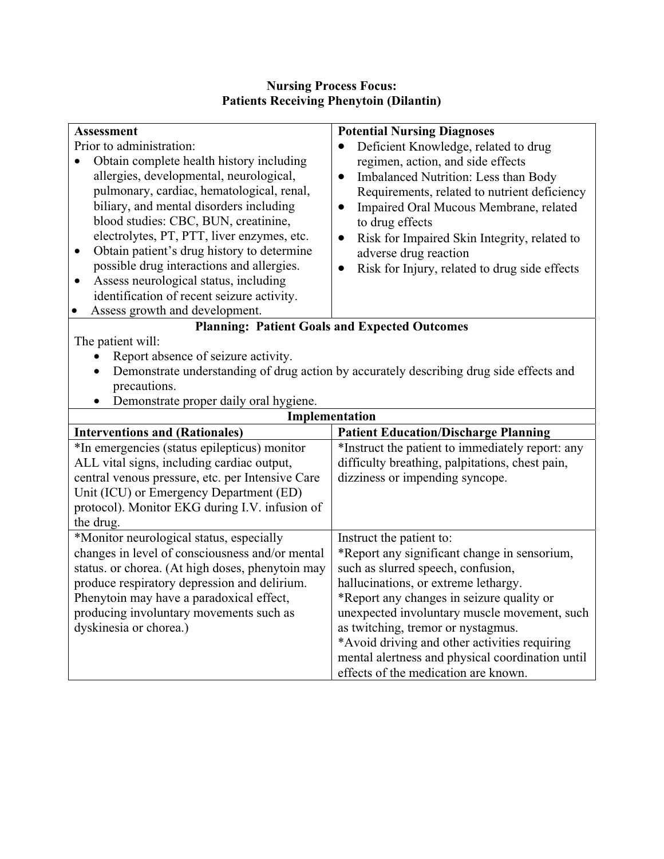## **Nursing Process Focus: Patients Receiving Phenytoin (Dilantin)**

| <b>Assessment</b>                                       | <b>Potential Nursing Diagnoses</b>                                                       |  |
|---------------------------------------------------------|------------------------------------------------------------------------------------------|--|
| Prior to administration:                                | Deficient Knowledge, related to drug                                                     |  |
| Obtain complete health history including<br>$\bullet$   | regimen, action, and side effects                                                        |  |
| allergies, developmental, neurological,                 | Imbalanced Nutrition: Less than Body<br>$\bullet$                                        |  |
| pulmonary, cardiac, hematological, renal,               | Requirements, related to nutrient deficiency                                             |  |
| biliary, and mental disorders including                 | Impaired Oral Mucous Membrane, related<br>$\bullet$                                      |  |
| blood studies: CBC, BUN, creatinine,                    | to drug effects                                                                          |  |
| electrolytes, PT, PTT, liver enzymes, etc.              | Risk for Impaired Skin Integrity, related to<br>$\bullet$                                |  |
| Obtain patient's drug history to determine<br>$\bullet$ | adverse drug reaction                                                                    |  |
| possible drug interactions and allergies.               | Risk for Injury, related to drug side effects<br>$\bullet$                               |  |
| Assess neurological status, including<br>$\bullet$      |                                                                                          |  |
| identification of recent seizure activity.              |                                                                                          |  |
| Assess growth and development.<br>$\bullet$             |                                                                                          |  |
| <b>Planning: Patient Goals and Expected Outcomes</b>    |                                                                                          |  |
| The patient will:                                       |                                                                                          |  |
| Report absence of seizure activity.<br>$\bullet$        |                                                                                          |  |
| $\bullet$                                               | Demonstrate understanding of drug action by accurately describing drug side effects and  |  |
| precautions.                                            |                                                                                          |  |
| Demonstrate proper daily oral hygiene.<br>$\bullet$     |                                                                                          |  |
| Implementation                                          |                                                                                          |  |
| <b>Interventions and (Rationales)</b>                   | <b>Patient Education/Discharge Planning</b>                                              |  |
| *In emergencies (status epilepticus) monitor            | *Instruct the patient to immediately report: any                                         |  |
| ALL vital signs, including cardiac output,              | difficulty breathing, palpitations, chest pain,                                          |  |
| central venous pressure, etc. per Intensive Care        | dizziness or impending syncope.                                                          |  |
| Unit (ICU) or Emergency Department (ED)                 |                                                                                          |  |
| protocol). Monitor EKG during I.V. infusion of          |                                                                                          |  |
| the drug.                                               |                                                                                          |  |
| *Monitor neurological status, especially                | Instruct the patient to:                                                                 |  |
| changes in level of consciousness and/or mental         | *Report any significant change in sensorium,                                             |  |
| status. or chorea. (At high doses, phenytoin may        | such as slurred speech, confusion,                                                       |  |
| produce respiratory depression and delirium.            | hallucinations, or extreme lethargy.                                                     |  |
| Phenytoin may have a paradoxical effect,                | *Report any changes in seizure quality or                                                |  |
|                                                         |                                                                                          |  |
| producing involuntary movements such as                 | unexpected involuntary muscle movement, such                                             |  |
| dyskinesia or chorea.)                                  | as twitching, tremor or nystagmus.                                                       |  |
|                                                         | *Avoid driving and other activities requiring                                            |  |
|                                                         | mental alertness and physical coordination until<br>effects of the medication are known. |  |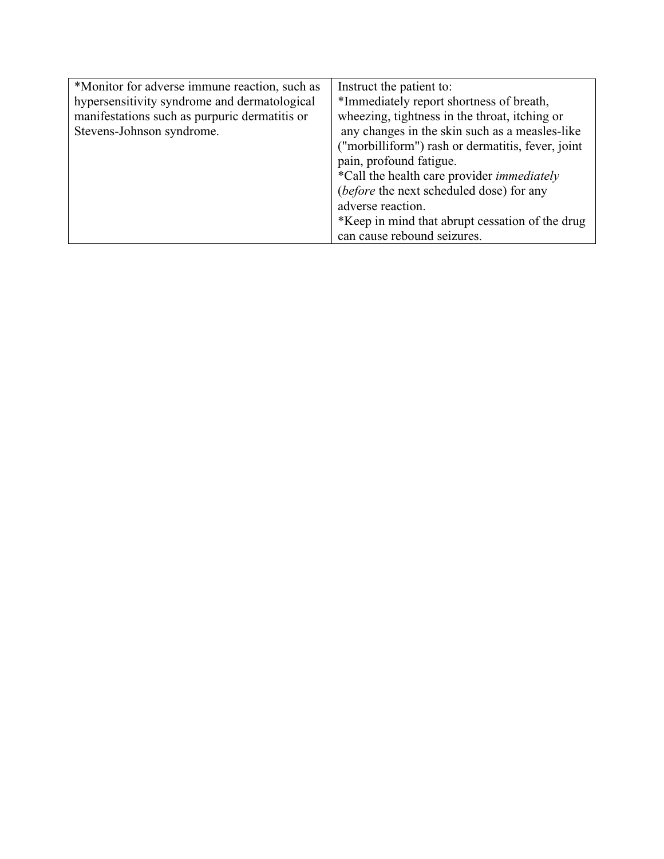| *Monitor for adverse immune reaction, such as | Instruct the patient to:                          |
|-----------------------------------------------|---------------------------------------------------|
| hypersensitivity syndrome and dermatological  | *Immediately report shortness of breath,          |
| manifestations such as purpuric dermatitis or | wheezing, tightness in the throat, itching or     |
| Stevens-Johnson syndrome.                     | any changes in the skin such as a measles-like    |
|                                               | ("morbilliform") rash or dermatitis, fever, joint |
|                                               | pain, profound fatigue.                           |
|                                               | *Call the health care provider <i>immediately</i> |
|                                               | <i>(before the next scheduled dose)</i> for any   |
|                                               | adverse reaction.                                 |
|                                               | *Keep in mind that abrupt cessation of the drug   |
|                                               | can cause rebound seizures.                       |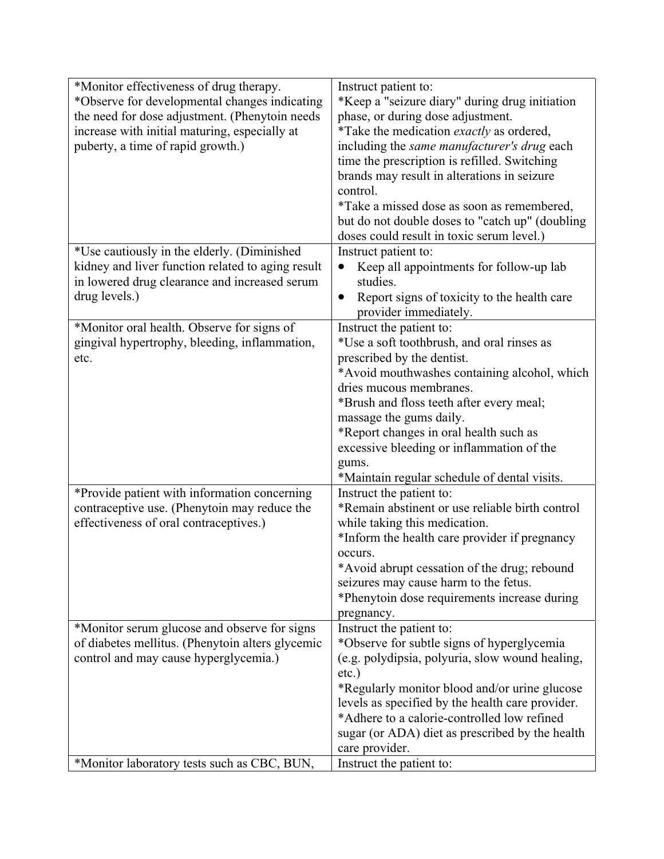| *Monitor effectiveness of drug therapy.<br>*Observe for developmental changes indicating           | Instruct patient to:<br>*Keep a "seizure diary" during drug initiation            |
|----------------------------------------------------------------------------------------------------|-----------------------------------------------------------------------------------|
| the need for dose adjustment. (Phenytoin needs                                                     | phase, or during dose adjustment.                                                 |
| increase with initial maturing, especially at                                                      | *Take the medication <i>exactly</i> as ordered,                                   |
| puberty, a time of rapid growth.)                                                                  | including the same manufacturer's drug each                                       |
|                                                                                                    | time the prescription is refilled. Switching                                      |
|                                                                                                    | brands may result in alterations in seizure                                       |
|                                                                                                    | control.                                                                          |
|                                                                                                    | *Take a missed dose as soon as remembered,                                        |
|                                                                                                    | but do not double doses to "catch up" (doubling                                   |
|                                                                                                    | doses could result in toxic serum level.)                                         |
| *Use cautiously in the elderly. (Diminished                                                        | Instruct patient to:                                                              |
| kidney and liver function related to aging result<br>in lowered drug clearance and increased serum | Keep all appointments for follow-up lab<br>studies.                               |
| drug levels.)                                                                                      | Report signs of toxicity to the health care<br>$\bullet$<br>provider immediately. |
| *Monitor oral health. Observe for signs of                                                         | Instruct the patient to:                                                          |
| gingival hypertrophy, bleeding, inflammation,                                                      | *Use a soft toothbrush, and oral rinses as                                        |
| etc.                                                                                               | prescribed by the dentist.                                                        |
|                                                                                                    | *Avoid mouthwashes containing alcohol, which                                      |
|                                                                                                    | dries mucous membranes.                                                           |
|                                                                                                    | *Brush and floss teeth after every meal;                                          |
|                                                                                                    | massage the gums daily.                                                           |
|                                                                                                    | *Report changes in oral health such as                                            |
|                                                                                                    | excessive bleeding or inflammation of the                                         |
|                                                                                                    | gums.                                                                             |
|                                                                                                    | *Maintain regular schedule of dental visits.                                      |
| *Provide patient with information concerning                                                       | Instruct the patient to:                                                          |
| contraceptive use. (Phenytoin may reduce the                                                       | *Remain abstinent or use reliable birth control                                   |
| effectiveness of oral contraceptives.)                                                             | while taking this medication.                                                     |
|                                                                                                    | *Inform the health care provider if pregnancy                                     |
|                                                                                                    | occurs.                                                                           |
|                                                                                                    | *Avoid abrupt cessation of the drug; rebound                                      |
|                                                                                                    | seizures may cause harm to the fetus.                                             |
|                                                                                                    | *Phenytoin dose requirements increase during                                      |
|                                                                                                    | pregnancy.                                                                        |
| *Monitor serum glucose and observe for signs                                                       | Instruct the patient to:                                                          |
| of diabetes mellitus. (Phenytoin alters glycemic                                                   | *Observe for subtle signs of hyperglycemia                                        |
| control and may cause hyperglycemia.)                                                              | (e.g. polydipsia, polyuria, slow wound healing,                                   |
|                                                                                                    | $etc.$ )                                                                          |
|                                                                                                    | *Regularly monitor blood and/or urine glucose                                     |
|                                                                                                    | levels as specified by the health care provider.                                  |
|                                                                                                    | *Adhere to a calorie-controlled low refined                                       |
|                                                                                                    | sugar (or ADA) diet as prescribed by the health                                   |
|                                                                                                    | care provider.                                                                    |
| *Monitor laboratory tests such as CBC, BUN,                                                        | Instruct the patient to:                                                          |